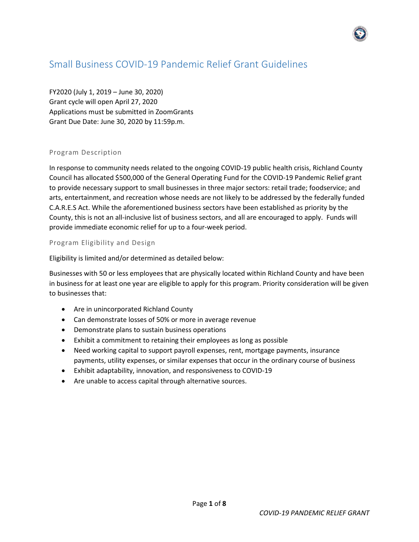# Small Business COVID-19 Pandemic Relief Grant Guidelines

FY2020 (July 1, 2019 – June 30, 2020) Grant cycle will open April 27, 2020 Applications must be submitted in ZoomGrants Grant Due Date: June 30, 2020 by 11:59p.m.

## Program Description

In response to community needs related to the ongoing COVID-19 public health crisis, Richland County Council has allocated \$500,000 of the General Operating Fund for the COVID-19 Pandemic Relief grant to provide necessary support to small businesses in three major sectors: retail trade; foodservice; and arts, entertainment, and recreation whose needs are not likely to be addressed by the federally funded C.A.R.E.S Act. While the aforementioned business sectors have been established as priority by the County, this is not an all-inclusive list of business sectors, and all are encouraged to apply. Funds will provide immediate economic relief for up to a four-week period.

## Program Eligibility and Design

Eligibility is limited and/or determined as detailed below:

Businesses with 50 or less employees that are physically located within Richland County and have been in business for at least one year are eligible to apply for this program. Priority consideration will be given to businesses that:

- Are in unincorporated Richland County
- Can demonstrate losses of 50% or more in average revenue
- Demonstrate plans to sustain business operations
- Exhibit a commitment to retaining their employees as long as possible
- Need working capital to support payroll expenses, rent, mortgage payments, insurance payments, utility expenses, or similar expenses that occur in the ordinary course of business
- Exhibit adaptability, innovation, and responsiveness to COVID-19
- Are unable to access capital through alternative sources.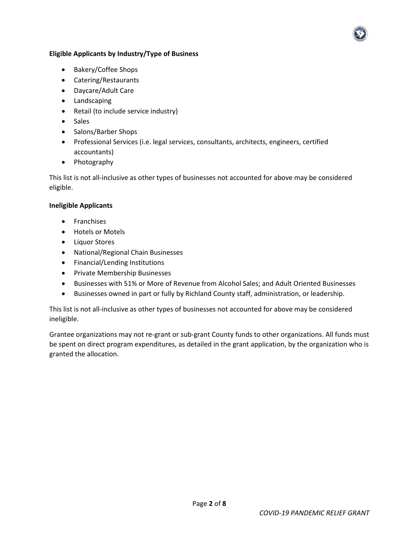## **Eligible Applicants by Industry/Type of Business**

- Bakery/Coffee Shops
- Catering/Restaurants
- Daycare/Adult Care
- Landscaping
- Retail (to include service industry)
- Sales
- Salons/Barber Shops
- Professional Services (i.e. legal services, consultants, architects, engineers, certified accountants)
- Photography

This list is not all-inclusive as other types of businesses not accounted for above may be considered eligible.

## **Ineligible Applicants**

- Franchises
- Hotels or Motels
- Liquor Stores
- National/Regional Chain Businesses
- Financial/Lending Institutions
- Private Membership Businesses
- Businesses with 51% or More of Revenue from Alcohol Sales; and Adult Oriented Businesses
- Businesses owned in part or fully by Richland County staff, administration, or leadership.

This list is not all-inclusive as other types of businesses not accounted for above may be considered ineligible.

Grantee organizations may not re-grant or sub-grant County funds to other organizations. All funds must be spent on direct program expenditures, as detailed in the grant application, by the organization who is granted the allocation.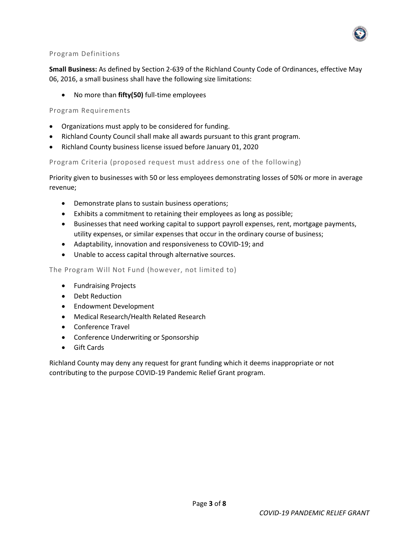

## Program Definitions

**Small Business:** As defined by Section 2-639 of the Richland County Code of Ordinances, effective May 06, 2016, a small business shall have the following size limitations:

• No more than **fifty(50)** full-time employees

## Program Requirements

- Organizations must apply to be considered for funding.
- Richland County Council shall make all awards pursuant to this grant program.
- Richland County business license issued before January 01, 2020

## Program Criteria (proposed request must address one of the following)

Priority given to businesses with 50 or less employees demonstrating losses of 50% or more in average revenue;

- Demonstrate plans to sustain business operations;
- Exhibits a commitment to retaining their employees as long as possible;
- Businesses that need working capital to support payroll expenses, rent, mortgage payments, utility expenses, or similar expenses that occur in the ordinary course of business;
- Adaptability, innovation and responsiveness to COVID-19; and
- Unable to access capital through alternative sources.

#### The Program Will Not Fund (however, not limited to)

- Fundraising Projects
- Debt Reduction
- Endowment Development
- Medical Research/Health Related Research
- Conference Travel
- Conference Underwriting or Sponsorship
- Gift Cards

Richland County may deny any request for grant funding which it deems inappropriate or not contributing to the purpose COVID-19 Pandemic Relief Grant program.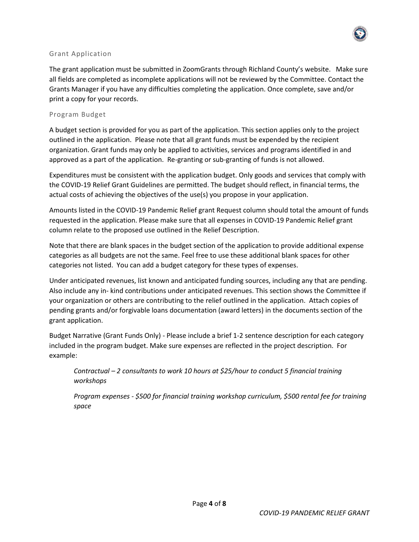

## Grant Application

The grant application must be submitted in ZoomGrants through Richland County's website. Make sure all fields are completed as incomplete applications will not be reviewed by the Committee. Contact the Grants Manager if you have any difficulties completing the application. Once complete, save and/or print a copy for your records.

## Program Budget

A budget section is provided for you as part of the application. This section applies only to the project outlined in the application. Please note that all grant funds must be expended by the recipient organization. Grant funds may only be applied to activities, services and programs identified in and approved as a part of the application. Re-granting or sub-granting of funds is not allowed.

Expenditures must be consistent with the application budget. Only goods and services that comply with the COVID-19 Relief Grant Guidelines are permitted. The budget should reflect, in financial terms, the actual costs of achieving the objectives of the use(s) you propose in your application.

Amounts listed in the COVID-19 Pandemic Relief grant Request column should total the amount of funds requested in the application. Please make sure that all expenses in COVID-19 Pandemic Relief grant column relate to the proposed use outlined in the Relief Description.

Note that there are blank spaces in the budget section of the application to provide additional expense categories as all budgets are not the same. Feel free to use these additional blank spaces for other categories not listed. You can add a budget category for these types of expenses.

Under anticipated revenues, list known and anticipated funding sources, including any that are pending. Also include any in- kind contributions under anticipated revenues. This section shows the Committee if your organization or others are contributing to the relief outlined in the application. Attach copies of pending grants and/or forgivable loans documentation (award letters) in the documents section of the grant application.

Budget Narrative (Grant Funds Only) - Please include a brief 1-2 sentence description for each category included in the program budget. Make sure expenses are reflected in the project description. For example:

*Contractual – 2 consultants to work 10 hours at \$25/hour to conduct 5 financial training workshops* 

*Program expenses - \$500 for financial training workshop curriculum, \$500 rental fee for training space*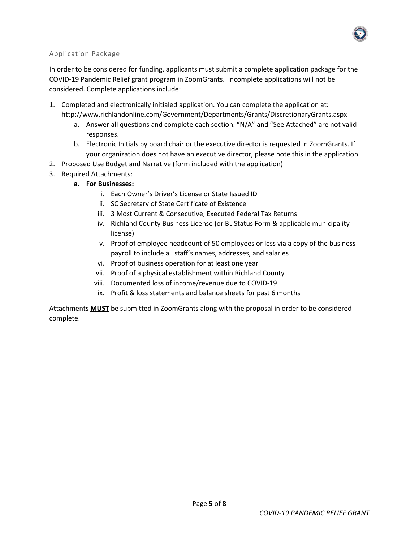

### Application Package

In order to be considered for funding, applicants must submit a complete application package for the COVID-19 Pandemic Relief grant program in ZoomGrants. Incomplete applications will not be considered. Complete applications include:

- 1. Completed and electronically initialed application. You can complete the application at: http://www.richlandonline.com/Government/Departments/Grants/DiscretionaryGrants.aspx
	- a. Answer all questions and complete each section. "N/A" and "See Attached" are not valid responses.
	- b. Electronic Initials by board chair or the executive director is requested in ZoomGrants. If your organization does not have an executive director, please note this in the application.
- 2. Proposed Use Budget and Narrative (form included with the application)
- 3. Required Attachments:
	- **a. For Businesses:**
		- i. Each Owner's Driver's License or State Issued ID
		- ii. SC Secretary of State Certificate of Existence
		- iii. 3 Most Current & Consecutive, Executed Federal Tax Returns
		- iv. Richland County Business License (or BL Status Form & applicable municipality license)
		- v. Proof of employee headcount of 50 employees or less via a copy of the business payroll to include all staff's names, addresses, and salaries
		- vi. Proof of business operation for at least one year
		- vii. Proof of a physical establishment within Richland County
		- viii. Documented loss of income/revenue due to COVID-19
		- ix. Profit & loss statements and balance sheets for past 6 months

Attachments **MUST** be submitted in ZoomGrants along with the proposal in order to be considered complete.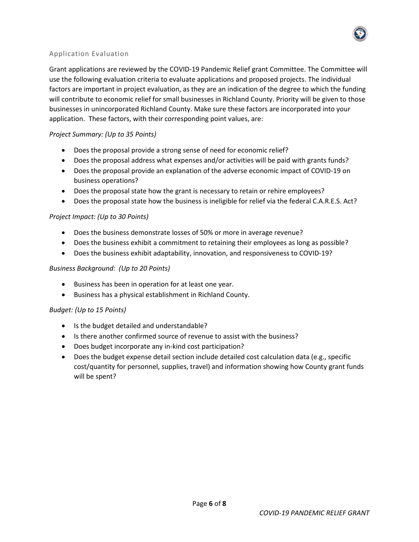

### Application Evaluation

Grant applications are reviewed by the COVID-19 Pandemic Relief grant Committee. The Committee will use the following evaluation criteria to evaluate applications and proposed projects. The individual factors are important in project evaluation, as they are an indication of the degree to which the funding will contribute to economic relief for small businesses in Richland County. Priority will be given to those businesses in unincorporated Richland County. Make sure these factors are incorporated into your application. These factors, with their corresponding point values, are:

## *Project Summary: (Up to 35 Points)*

- Does the proposal provide a strong sense of need for economic relief?
- Does the proposal address what expenses and/or activities will be paid with grants funds?
- Does the proposal provide an explanation of the adverse economic impact of COVID-19 on business operations?
- Does the proposal state how the grant is necessary to retain or rehire employees?
- Does the proposal state how the business is ineligible for relief via the federal C.A.R.E.S. Act?

### *Project Impact: (Up to 30 Points)*

- Does the business demonstrate losses of 50% or more in average revenue?
- Does the business exhibit a commitment to retaining their employees as long as possible?
- Does the business exhibit adaptability, innovation, and responsiveness to COVID-19?

### *Business Background: (Up to 20 Points)*

- Business has been in operation for at least one year.
- Business has a physical establishment in Richland County.

### *Budget: (Up to 15 Points)*

- Is the budget detailed and understandable?
- Is there another confirmed source of revenue to assist with the business?
- Does budget incorporate any in-kind cost participation?
- Does the budget expense detail section include detailed cost calculation data (e.g., specific cost/quantity for personnel, supplies, travel) and information showing how County grant funds will be spent?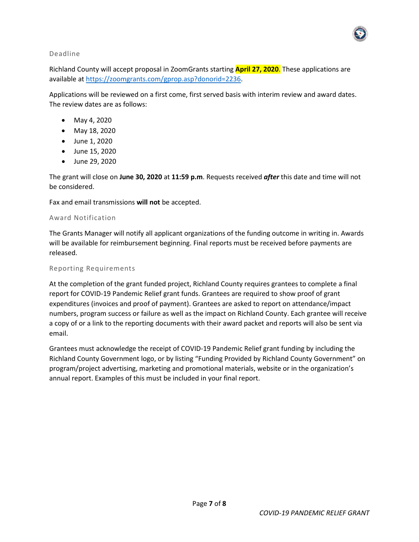

#### Deadline

Richland County will accept proposal in ZoomGrants starting **April 27, 2020**. These applications are available a[t https://zoomgrants.com/gprop.asp?donorid=2236.](https://zoomgrants.com/gprop.asp?donorid=2236)

Applications will be reviewed on a first come, first served basis with interim review and award dates. The review dates are as follows:

- May 4, 2020
- May 18, 2020
- June 1, 2020
- June 15, 2020
- June 29, 2020

The grant will close on **June 30, 2020** at **11:59 p.m**. Requests received *after* this date and time will not be considered.

Fax and email transmissions **will not** be accepted.

#### Award Notification

The Grants Manager will notify all applicant organizations of the funding outcome in writing in. Awards will be available for reimbursement beginning. Final reports must be received before payments are released.

#### Reporting Requirements

At the completion of the grant funded project, Richland County requires grantees to complete a final report for COVID-19 Pandemic Relief grant funds. Grantees are required to show proof of grant expenditures (invoices and proof of payment). Grantees are asked to report on attendance/impact numbers, program success or failure as well as the impact on Richland County. Each grantee will receive a copy of or a link to the reporting documents with their award packet and reports will also be sent via email.

Grantees must acknowledge the receipt of COVID-19 Pandemic Relief grant funding by including the Richland County Government logo, or by listing "Funding Provided by Richland County Government" on program/project advertising, marketing and promotional materials, website or in the organization's annual report. Examples of this must be included in your final report.